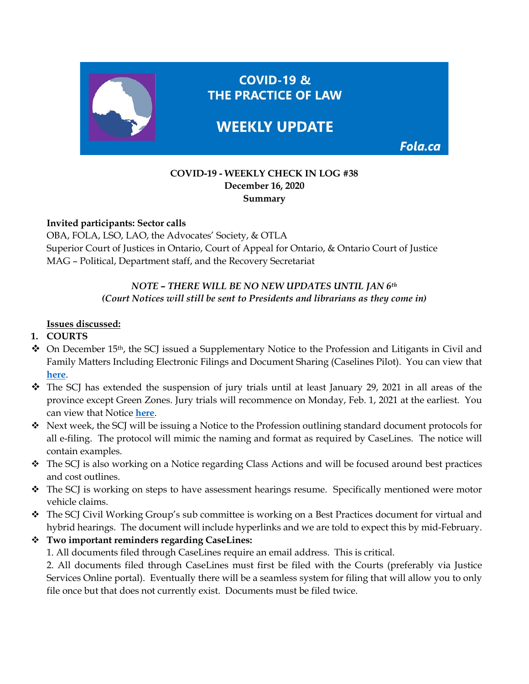

### **COVID-19 - WEEKLY CHECK IN LOG #38 December 16, 2020 Summary**

### **Invited participants: Sector calls**

OBA, FOLA, LSO, LAO, the Advocates' Society, & OTLA Superior Court of Justices in Ontario, Court of Appeal for Ontario, & Ontario Court of Justice MAG – Political, Department staff, and the Recovery Secretariat

## *NOTE – THERE WILL BE NO NEW UPDATES UNTIL JAN 6th (Court Notices will still be sent to Presidents and librarians as they come in)*

#### **Issues discussed:**

#### **1. COURTS**

- $\bullet$  On December 15<sup>th</sup>, the SCJ issued a Supplementary Notice to the Profession and Litigants in Civil and Family Matters Including Electronic Filings and Document Sharing (Caselines Pilot). You can view that **[here](https://www.ontariocourts.ca/scj/notices-and-orders-covid-19/supplementary-notice-september-2-2020/)**.
- $\hat{\cdot}$  The SCJ has extended the suspension of jury trials until at least January 29, 2021 in all areas of the province except Green Zones. Jury trials will recommence on Monday, Feb. 1, 2021 at the earliest. You can view that Notice **[here](https://www.ontariocourts.ca/scj/notices-and-orders-covid-19/notice-to-the-profession-and-public-december-14-2020/)**.
- $\bullet$  Next week, the SCJ will be issuing a Notice to the Profession outlining standard document protocols for all e-filing. The protocol will mimic the naming and format as required by CaseLines. The notice will contain examples.
- The SCJ is also working on a Notice regarding Class Actions and will be focused around best practices and cost outlines.
- The SCJ is working on steps to have assessment hearings resume. Specifically mentioned were motor vehicle claims.
- The SCJ Civil Working Group's sub committee is working on a Best Practices document for virtual and hybrid hearings. The document will include hyperlinks and we are told to expect this by mid-February.
- **Two important reminders regarding CaseLines:** 
	- 1. All documents filed through CaseLines require an email address. This is critical.

2. All documents filed through CaseLines must first be filed with the Courts (preferably via Justice Services Online portal). Eventually there will be a seamless system for filing that will allow you to only file once but that does not currently exist. Documents must be filed twice.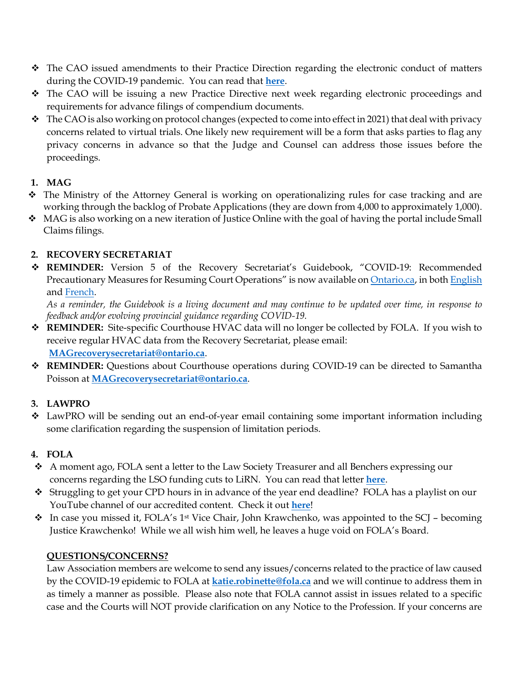- $\div$  The CAO issued amendments to their Practice Direction regarding the electronic conduct of matters during the COVID-19 pandemic. You can read that **[here](https://www.ontariocourts.ca/coa/en/notices/covid-19/practice-direction-electronic-conduct-amended-oct26.pdf)**.
- The CAO will be issuing a new Practice Directive next week regarding electronic proceedings and requirements for advance filings of compendium documents.
- $\bullet$  The CAO is also working on protocol changes (expected to come into effect in 2021) that deal with privacy concerns related to virtual trials. One likely new requirement will be a form that asks parties to flag any privacy concerns in advance so that the Judge and Counsel can address those issues before the proceedings.

## **1. MAG**

- The Ministry of the Attorney General is working on operationalizing rules for case tracking and are working through the backlog of Probate Applications (they are down from 4,000 to approximately 1,000).
- MAG is also working on a new iteration of Justice Online with the goal of having the portal include Small Claims filings.

# **2. RECOVERY SECRETARIAT**

 **REMINDER:** Version 5 of the Recovery Secretariat's Guidebook, "COVID-19: Recommended Precautionary Measures for Resuming Court Operations" is now available on [Ontario.ca,](https://www.ontario.ca/page/covid-19-reopening-courtrooms) in bot[h English](https://files.ontario.ca/mag-covid-19-recommended-precautionary-measures-en-2020-12-01.pdf) and [French.](https://files.ontario.ca/mag-covid-19-recommended-precautionary-measures-fr-2020-12-01.pdf)

*As a reminder, the Guidebook is a living document and may continue to be updated over time, in response to feedback and/or evolving provincial guidance regarding COVID-19.*

- **REMINDER:** Site-specific Courthouse HVAC data will no longer be collected by FOLA. If you wish to receive regular HVAC data from the Recovery Secretariat, please email: **[MAGrecoverysecretariat@ontario.ca](mailto:MAGrecoverysecretariat@ontario.ca)**.
- **REMINDER:** Questions about Courthouse operations during COVID-19 can be directed to Samantha Poisson at **[MAGrecoverysecretariat@ontario.ca](mailto:MAGrecoverysecretariat@ontario.ca)**.

# **3. LAWPRO**

 LawPRO will be sending out an end-of-year email containing some important information including some clarification regarding the suspension of limitation periods.

# **4. FOLA**

- $\clubsuit$  A moment ago, FOLA sent a letter to the Law Society Treasurer and all Benchers expressing our concerns regarding the LSO funding cuts to LiRN. You can read that letter **[here](https://fola.ca/ont-courthouse-libraries)**.
- Struggling to get your CPD hours in in advance of the year end deadline? FOLA has a playlist on our YouTube channel of our accredited content. Check it out **[here](https://www.youtube.com/playlist?list=PLdOLwU4qP6NLrKkVovK5XDDmNcWyJm0tq)**!
- $\bullet$  In case you missed it, FOLA's 1<sup>st</sup> Vice Chair, John Krawchenko, was appointed to the SCJ becoming Justice Krawchenko! While we all wish him well, he leaves a huge void on FOLA's Board.

## **QUESTIONS/CONCERNS?**

Law Association members are welcome to send any issues/concerns related to the practice of law caused by the COVID-19 epidemic to FOLA at **[katie.robinette@fola.ca](mailto:katie.robinette@fola.ca)** and we will continue to address them in as timely a manner as possible. Please also note that FOLA cannot assist in issues related to a specific case and the Courts will NOT provide clarification on any Notice to the Profession. If your concerns are